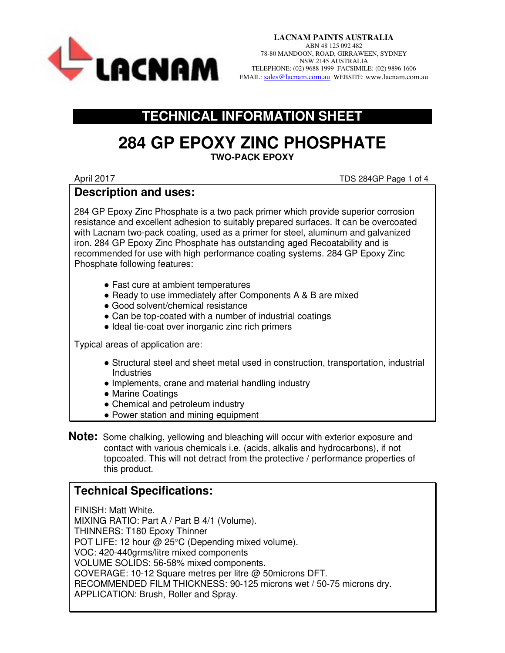

**LACNAM PAINTS AUSTRALIA**  ABN 48 125 092 482 78-80 MANDOON, ROAD, GIRRAWEEN, SYDNEY NSW 2145 AUSTRALIA TELEPHONE: (02) 9688 1999 FACSIMILE: (02) 9896 1606 EMAIL: SALEPHONE: (02) 9688 1999 FACSIMILE: (02) 9896 1606

### **TECHNICAL INFORMATION SHEET**

### **284 GP EPOXY ZINC PHOSPHATE TWO-PACK EPOXY**

April 2017 TDS 284GP Page 1 of 4

#### **Description and uses:**

284 GP Epoxy Zinc Phosphate is a two pack primer which provide superior corrosion resistance and excellent adhesion to suitably prepared surfaces. It can be overcoated with Lacnam two-pack coating, used as a primer for steel, aluminum and galvanized iron. 284 GP Epoxy Zinc Phosphate has outstanding aged Recoatability and is recommended for use with high performance coating systems. 284 GP Epoxy Zinc Phosphate following features:

- Fast cure at ambient temperatures
- Ready to use immediately after Components A & B are mixed
- Good solvent/chemical resistance
- Can be top-coated with a number of industrial coatings
- Ideal tie-coat over inorganic zinc rich primers

Typical areas of application are:

- Structural steel and sheet metal used in construction, transportation, industrial **Industries**
- Implements, crane and material handling industry
- Marine Coatings
- Chemical and petroleum industry
- Power station and mining equipment
- **Note:** Some chalking, yellowing and bleaching will occur with exterior exposure and contact with various chemicals i.e. (acids, alkalis and hydrocarbons), if not topcoated. This will not detract from the protective / performance properties of this product.

### **Technical Specifications:**

FINISH: Matt White. MIXING RATIO: Part A / Part B 4/1 (Volume). THINNERS: T180 Epoxy Thinner POT LIFE: 12 hour @ 25°C (Depending mixed volume). VOC: 420-440grms/litre mixed components VOLUME SOLIDS: 56-58% mixed components. COVERAGE: 10-12 Square metres per litre @ 50microns DFT. RECOMMENDED FILM THICKNESS: 90-125 microns wet / 50-75 microns dry. APPLICATION: Brush, Roller and Spray.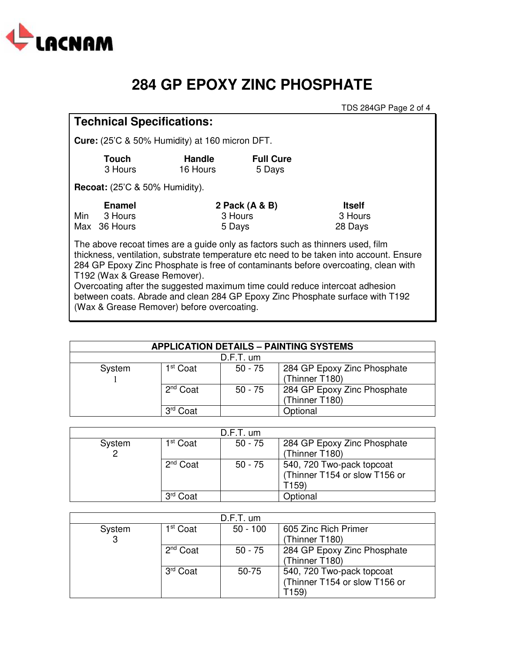

## **284 GP EPOXY ZINC PHOSPHATE**

TDS 284GP Page 2 of 4

### **Technical Specifications:**

**Cure:** (25'C & 50% Humidity) at 160 micron DFT.

| Touch   | <b>Handle</b> | <b>Full Cure</b> |
|---------|---------------|------------------|
| 3 Hours | 16 Hours      | 5 Days           |

**Recoat:** (25'C & 50% Humidity).

|     | <b>Enamel</b> | 2 Pack (A & B) | <b>Itself</b> |
|-----|---------------|----------------|---------------|
| Min | 3 Hours       | 3 Hours        | 3 Hours       |
|     | Max 36 Hours  | 5 Days         | 28 Days       |

The above recoat times are a guide only as factors such as thinners used, film thickness, ventilation, substrate temperature etc need to be taken into account. Ensure 284 GP Epoxy Zinc Phosphate is free of contaminants before overcoating, clean with T192 (Wax & Grease Remover).

Overcoating after the suggested maximum time could reduce intercoat adhesion between coats. Abrade and clean 284 GP Epoxy Zinc Phosphate surface with T192 (Wax & Grease Remover) before overcoating.

| <b>APPLICATION DETAILS - PAINTING SYSTEMS</b> |                      |           |                                               |
|-----------------------------------------------|----------------------|-----------|-----------------------------------------------|
| $D.F.T.$ um                                   |                      |           |                                               |
| System                                        | 1 <sup>st</sup> Coat | $50 - 75$ | 284 GP Epoxy Zinc Phosphate<br>(Thinner T180) |
|                                               | 2 <sup>nd</sup> Coat | $50 - 75$ | 284 GP Epoxy Zinc Phosphate<br>(Thinner T180) |
|                                               | 3 <sup>rd</sup> Coat |           | Optional                                      |

| $D.F.T.$ um |                      |           |                                                                     |
|-------------|----------------------|-----------|---------------------------------------------------------------------|
| System      | 1 <sup>st</sup> Coat | $50 - 75$ | 284 GP Epoxy Zinc Phosphate<br>(Thinner T180)                       |
|             | $2nd$ Coat           | $50 - 75$ | 540, 720 Two-pack topcoat<br>(Thinner T154 or slow T156 or<br>T159) |
|             | Coat                 |           | Optional                                                            |

| $D.F.T.$ um |                      |            |                               |
|-------------|----------------------|------------|-------------------------------|
| System      | 1 <sup>st</sup> Coat | $50 - 100$ | 605 Zinc Rich Primer          |
| 3           |                      |            | (Thinner T180)                |
|             | 2 <sup>nd</sup> Coat | $50 - 75$  | 284 GP Epoxy Zinc Phosphate   |
|             |                      |            | (Thinner T180)                |
|             | 3 <sup>rd</sup> Coat | 50-75      | 540, 720 Two-pack topcoat     |
|             |                      |            | (Thinner T154 or slow T156 or |
|             |                      |            | T159)                         |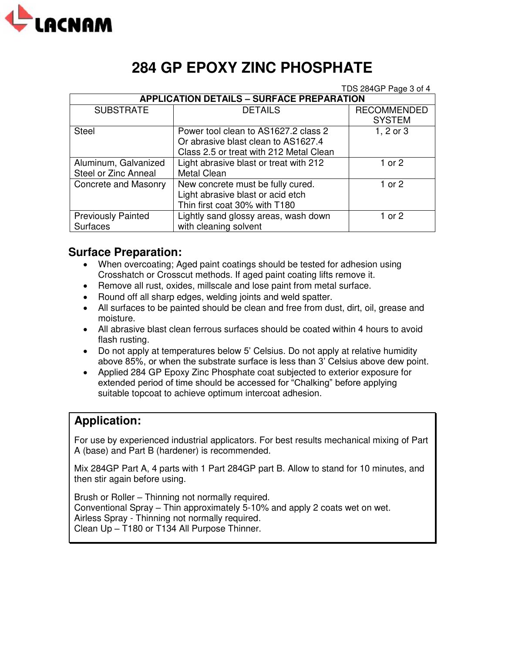

# **284 GP EPOXY ZINC PHOSPHATE**

TDS 284GP Page 3 of 4

| <b>APPLICATION DETAILS - SURFACE PREPARATION</b> |                                         |                    |  |
|--------------------------------------------------|-----------------------------------------|--------------------|--|
| <b>SUBSTRATE</b>                                 | <b>DETAILS</b>                          | <b>RECOMMENDED</b> |  |
|                                                  |                                         | <b>SYSTEM</b>      |  |
| <b>Steel</b>                                     | Power tool clean to AS1627.2 class 2    | $1, 2$ or $3$      |  |
|                                                  | Or abrasive blast clean to AS1627.4     |                    |  |
|                                                  | Class 2.5 or treat with 212 Metal Clean |                    |  |
| Aluminum, Galvanized                             | Light abrasive blast or treat with 212  | 1 or 2             |  |
| Steel or Zinc Anneal                             | Metal Clean                             |                    |  |
| Concrete and Masonry                             | New concrete must be fully cured.       | 1 or 2             |  |
|                                                  | Light abrasive blast or acid etch       |                    |  |
|                                                  | Thin first coat 30% with T180           |                    |  |
| <b>Previously Painted</b>                        | Lightly sand glossy areas, wash down    | 1 or 2             |  |
| <b>Surfaces</b>                                  | with cleaning solvent                   |                    |  |

### **Surface Preparation:**

- When overcoating; Aged paint coatings should be tested for adhesion using Crosshatch or Crosscut methods. If aged paint coating lifts remove it.
- Remove all rust, oxides, millscale and lose paint from metal surface.
- Round off all sharp edges, welding joints and weld spatter.
- All surfaces to be painted should be clean and free from dust, dirt, oil, grease and moisture.
- All abrasive blast clean ferrous surfaces should be coated within 4 hours to avoid flash rusting.
- Do not apply at temperatures below 5' Celsius. Do not apply at relative humidity above 85%, or when the substrate surface is less than 3' Celsius above dew point.
- Applied 284 GP Epoxy Zinc Phosphate coat subjected to exterior exposure for extended period of time should be accessed for "Chalking" before applying suitable topcoat to achieve optimum intercoat adhesion.

### **Application:**

For use by experienced industrial applicators. For best results mechanical mixing of Part A (base) and Part B (hardener) is recommended.

Mix 284GP Part A, 4 parts with 1 Part 284GP part B. Allow to stand for 10 minutes, and then stir again before using.

Brush or Roller – Thinning not normally required. Conventional Spray – Thin approximately 5-10% and apply 2 coats wet on wet. Airless Spray - Thinning not normally required. Clean Up – T180 or T134 All Purpose Thinner.